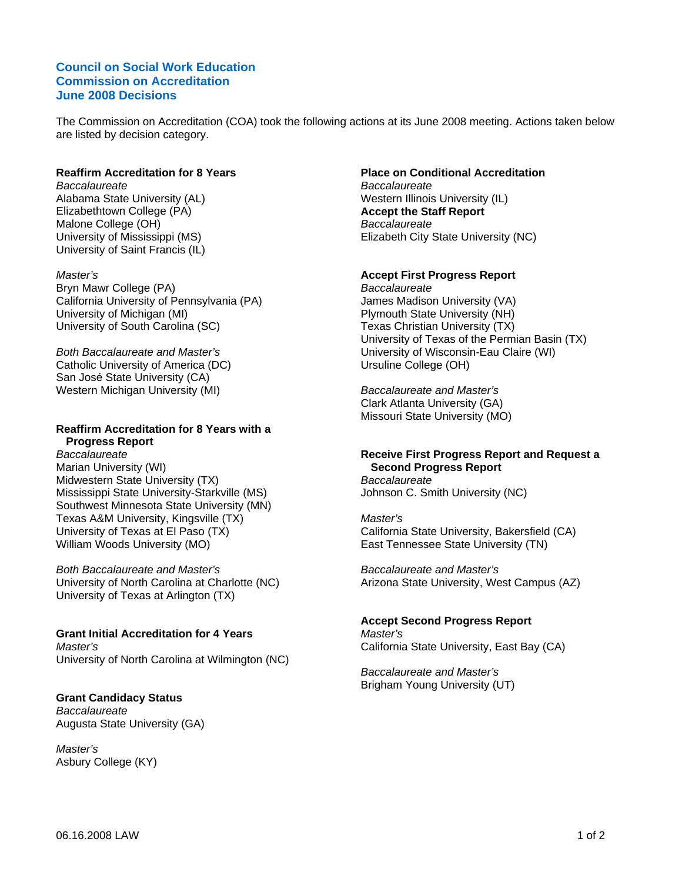## **Council on Social Work Education Commission on Accreditation June 2008 Decisions**

The Commission on Accreditation (COA) took the following actions at its June 2008 meeting. Actions taken below are listed by decision category.

#### **Reaffirm Accreditation for 8 Years**

*Baccalaureate*  Alabama State University (AL) Elizabethtown College (PA) Malone College (OH) University of Mississippi (MS) University of Saint Francis (IL)

*Master's*  Bryn Mawr College (PA) California University of Pennsylvania (PA) University of Michigan (MI) University of South Carolina (SC)

*Both Baccalaureate and Master's*  Catholic University of America (DC) San José State University (CA) Western Michigan University (MI)

# **Reaffirm Accreditation for 8 Years with a Progress Report**

*Baccalaureate*  Marian University (WI) Midwestern State University (TX) Mississippi State University-Starkville (MS) Southwest Minnesota State University (MN) Texas A&M University, Kingsville (TX) University of Texas at El Paso (TX) William Woods University (MO)

*Both Baccalaureate and Master's*  University of North Carolina at Charlotte (NC) University of Texas at Arlington (TX)

#### **Grant Initial Accreditation for 4 Years**  *Master's*  University of North Carolina at Wilmington (NC)

#### **Grant Candidacy Status**

*Baccalaureate*  Augusta State University (GA)

*Master's*  Asbury College (KY)

#### **Place on Conditional Accreditation** *Baccalaureate*  Western Illinois University (IL)

**Accept the Staff Report**  *Baccalaureate*  Elizabeth City State University (NC)

## **Accept First Progress Report**

*Baccalaureate*  James Madison University (VA) Plymouth State University (NH) Texas Christian University (TX) University of Texas of the Permian Basin (TX) University of Wisconsin-Eau Claire (WI) Ursuline College (OH)

*Baccalaureate and Master's*  Clark Atlanta University (GA) Missouri State University (MO)

#### **Receive First Progress Report and Request a Second Progress Report**

*Baccalaureate*  Johnson C. Smith University (NC)

*Master's*  California State University, Bakersfield (CA) East Tennessee State University (TN)

*Baccalaureate and Master's*  Arizona State University, West Campus (AZ)

#### **Accept Second Progress Report**

*Master's*  California State University, East Bay (CA)

*Baccalaureate and Master's*  Brigham Young University (UT)